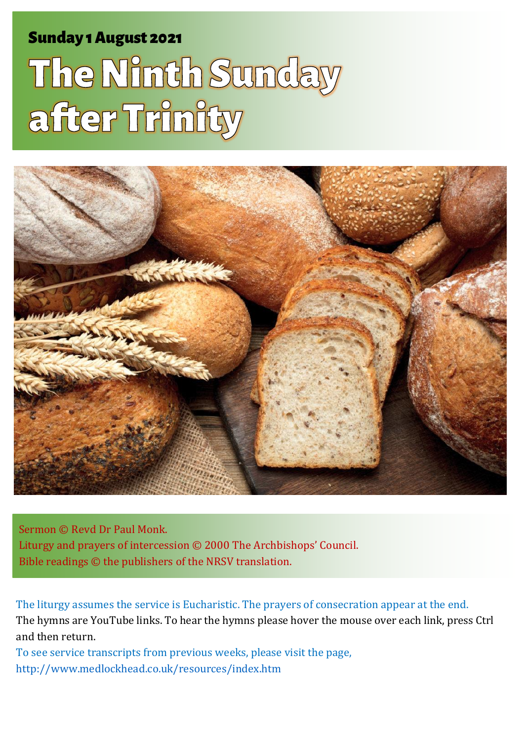Sunday 1 August 2021 1 The Ninth Sunday 1 August 2021 1 The Ninth Sunday 1 August 2021 1 The Ninth Sunday 1 Au

# The Ninth Sunday after Trinity



Sermon © Revd Dr Paul Monk. Liturgy and prayers of intercession © 2000 The Archbishops' Council. Bible readings © the publishers of the NRSV translation.

The liturgy assumes the service is Eucharistic. The prayers of consecration appear at the end. The hymns are YouTube links. To hear the hymns please hover the mouse over each link, press Ctrl and then return.

To see service transcripts from previous weeks, please visit the page, <http://www.medlockhead.co.uk/resources/index.htm>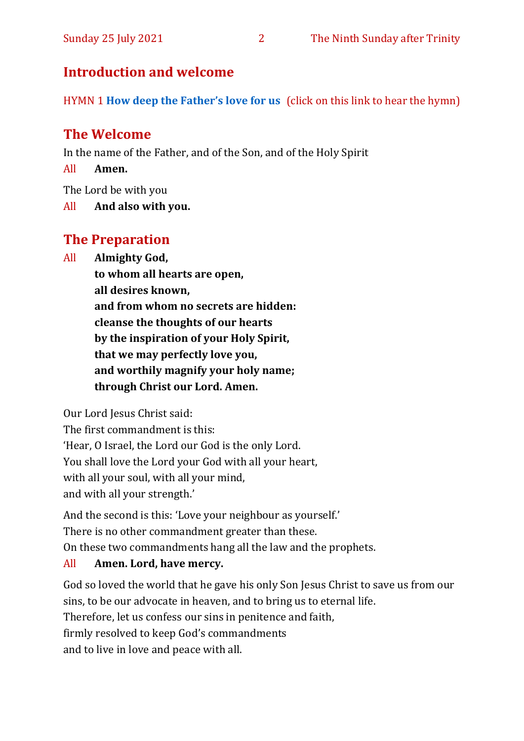## **Introduction and welcome**

HYMN 1 **[How deep the Father's love for us](https://www.youtube.com/watch?v=e9FG12eTSbI)** (click on this link to hear the hymn)

# **The Welcome**

In the name of the Father, and of the Son, and of the Holy Spirit

All **Amen.**

The Lord be with you

All **And also with you.**

# **The Preparation**

All **Almighty God,**

**to whom all hearts are open, all desires known, and from whom no secrets are hidden: cleanse the thoughts of our hearts by the inspiration of your Holy Spirit, that we may perfectly love you, and worthily magnify your holy name; through Christ our Lord. Amen.**

Our Lord Jesus Christ said:

The first commandment is this: 'Hear, O Israel, the Lord our God is the only Lord. You shall love the Lord your God with all your heart, with all your soul, with all your mind, and with all your strength.'

And the second is this: 'Love your neighbour as yourself.' There is no other commandment greater than these. On these two commandments hang all the law and the prophets.

#### All **Amen. Lord, have mercy.**

God so loved the world that he gave his only Son Jesus Christ to save us from our sins, to be our advocate in heaven, and to bring us to eternal life. Therefore, let us confess our sins in penitence and faith, firmly resolved to keep God's commandments and to live in love and peace with all.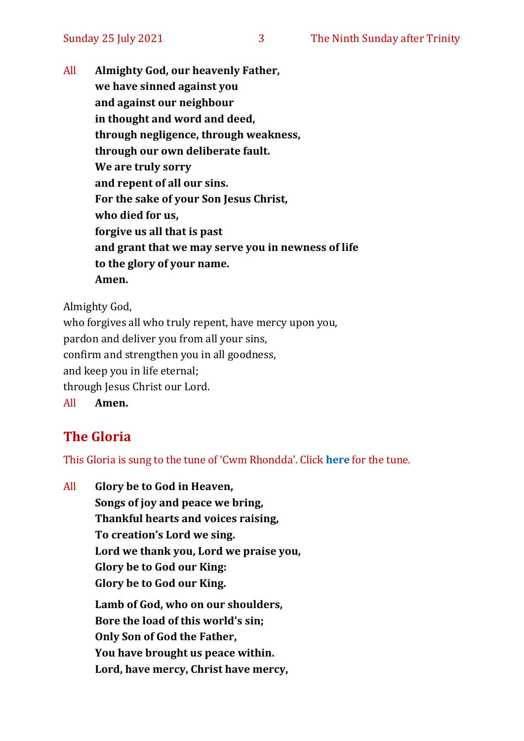All **Almighty God, our heavenly Father, we have sinned against you and against our neighbour in thought and word and deed, through negligence, through weakness, through our own deliberate fault. We are truly sorry and repent of all our sins. For the sake of your Son Jesus Christ, who died for us, forgive us all that is past and grant that we may serve you in newness of life to the glory of your name. Amen.**

Almighty God,

who forgives all who truly repent, have mercy upon you, pardon and deliver you from all your sins, confirm and strengthen you in all goodness, and keep you in life eternal; through Jesus Christ our Lord. All **Amen.**

# **The Gloria**

This Gloria is sung to the tune of 'Cwm Rhondda'. Click **[here](about:blank)** for the tune.

All **Glory be to God in Heaven, Songs of joy and peace we bring, Thankful hearts and voices raising, To creation's Lord we sing. Lord we thank you, Lord we praise you, Glory be to God our King: Glory be to God our King. Lamb of God, who on our shoulders, Bore the load of this world's sin; Only Son of God the Father, You have brought us peace within. Lord, have mercy, Christ have mercy,**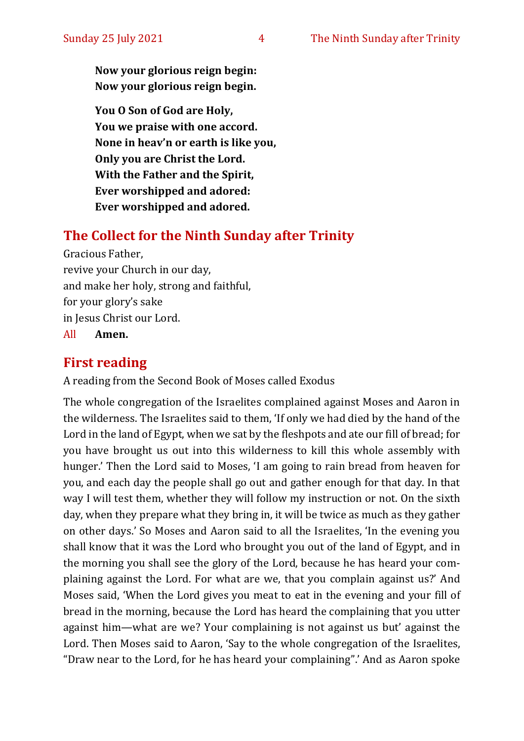**Now your glorious reign begin: Now your glorious reign begin.**

**You O Son of God are Holy, You we praise with one accord. None in heav'n or earth is like you, Only you are Christ the Lord. With the Father and the Spirit, Ever worshipped and adored: Ever worshipped and adored.**

#### **The Collect for the Ninth Sunday after Trinity**

Gracious Father, revive your Church in our day, and make her holy, strong and faithful, for your glory's sake in Jesus Christ our Lord. All **Amen.**

## **First reading**

A reading from the Second Book of Moses called Exodus

The whole congregation of the Israelites complained against Moses and Aaron in the wilderness. The Israelites said to them, 'If only we had died by the hand of the Lord in the land of Egypt, when we sat by the fleshpots and ate our fill of bread; for you have brought us out into this wilderness to kill this whole assembly with hunger.' Then the Lord said to Moses, 'I am going to rain bread from heaven for you, and each day the people shall go out and gather enough for that day. In that way I will test them, whether they will follow my instruction or not. On the sixth day, when they prepare what they bring in, it will be twice as much as they gather on other days.' So Moses and Aaron said to all the Israelites, 'In the evening you shall know that it was the Lord who brought you out of the land of Egypt, and in the morning you shall see the glory of the Lord, because he has heard your complaining against the Lord. For what are we, that you complain against us?' And Moses said, 'When the Lord gives you meat to eat in the evening and your fill of bread in the morning, because the Lord has heard the complaining that you utter against him—what are we? Your complaining is not against us but' against the Lord. Then Moses said to Aaron, 'Say to the whole congregation of the Israelites, "Draw near to the Lord, for he has heard your complaining".' And as Aaron spoke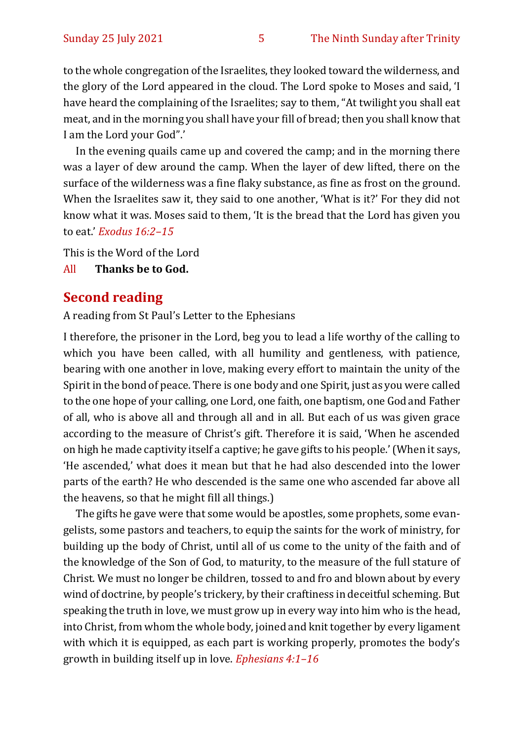to the whole congregation of the Israelites, they looked toward the wilderness, and the glory of the Lord appeared in the cloud. The Lord spoke to Moses and said, 'I have heard the complaining of the Israelites; say to them, "At twilight you shall eat meat, and in the morning you shall have your fill of bread; then you shall know that I am the Lord your God".'

In the evening quails came up and covered the camp; and in the morning there was a layer of dew around the camp. When the layer of dew lifted, there on the surface of the wilderness was a fine flaky substance, as fine as frost on the ground. When the Israelites saw it, they said to one another, 'What is it?' For they did not know what it was. Moses said to them, 'It is the bread that the Lord has given you to eat.' *Exodus 16:2–15*

This is the Word of the Lord

All **Thanks be to God.**

#### **Second reading**

A reading from St Paul's Letter to the Ephesians

I therefore, the prisoner in the Lord, beg you to lead a life worthy of the calling to which you have been called, with all humility and gentleness, with patience, bearing with one another in love, making every effort to maintain the unity of the Spirit in the bond of peace. There is one body and one Spirit, just as you were called to the one hope of your calling, one Lord, one faith, one baptism, one God and Father of all, who is above all and through all and in all. But each of us was given grace according to the measure of Christ's gift. Therefore it is said, 'When he ascended on high he made captivity itself a captive; he gave gifts to his people.' (When it says, 'He ascended,' what does it mean but that he had also descended into the lower parts of the earth? He who descended is the same one who ascended far above all the heavens, so that he might fill all things.)

The gifts he gave were that some would be apostles, some prophets, some evangelists, some pastors and teachers, to equip the saints for the work of ministry, for building up the body of Christ, until all of us come to the unity of the faith and of the knowledge of the Son of God, to maturity, to the measure of the full stature of Christ. We must no longer be children, tossed to and fro and blown about by every wind of doctrine, by people's trickery, by their craftiness in deceitful scheming. But speaking the truth in love, we must grow up in every way into him who is the head, into Christ, from whom the whole body, joined and knit together by every ligament with which it is equipped, as each part is working properly, promotes the body's growth in building itself up in love. *Ephesians 4:1–16*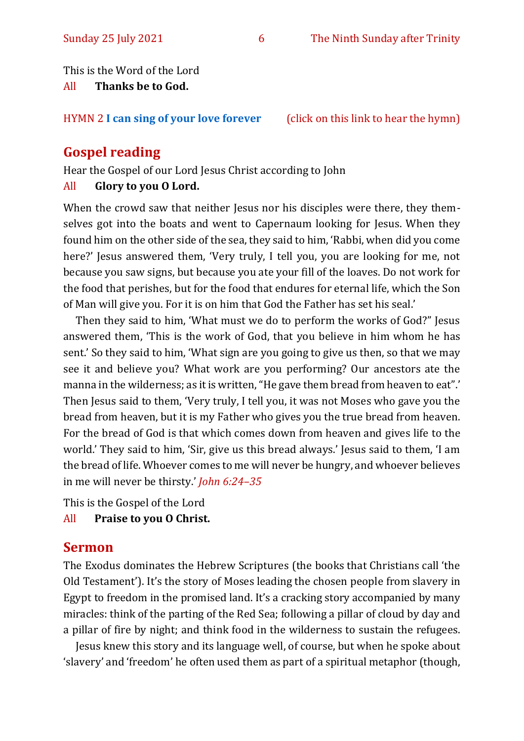This is the Word of the Lord

All **Thanks be to God.**

HYMN 2 **[I can sing of your love forever](https://www.youtube.com/watch?v=zeCwwaciAA8)** (click on this link to hear the hymn)

# **Gospel reading**

Hear the Gospel of our Lord Jesus Christ according to John

## All **Glory to you O Lord.**

When the crowd saw that neither Jesus nor his disciples were there, they themselves got into the boats and went to Capernaum looking for Jesus. When they found him on the other side of the sea, they said to him, 'Rabbi, when did you come here?' Jesus answered them, 'Very truly, I tell you, you are looking for me, not because you saw signs, but because you ate your fill of the loaves. Do not work for the food that perishes, but for the food that endures for eternal life, which the Son of Man will give you. For it is on him that God the Father has set his seal.'

Then they said to him, 'What must we do to perform the works of God?" Jesus answered them, 'This is the work of God, that you believe in him whom he has sent.' So they said to him, 'What sign are you going to give us then, so that we may see it and believe you? What work are you performing? Our ancestors ate the manna in the wilderness; as it is written, "He gave them bread from heaven to eat".' Then Jesus said to them, 'Very truly, I tell you, it was not Moses who gave you the bread from heaven, but it is my Father who gives you the true bread from heaven. For the bread of God is that which comes down from heaven and gives life to the world.' They said to him, 'Sir, give us this bread always.' Jesus said to them, 'I am the bread of life. Whoever comes to me will never be hungry, and whoever believes in me will never be thirsty.' *John 6:24–35*

This is the Gospel of the Lord

All **Praise to you O Christ.** 

# **Sermon**

The Exodus dominates the Hebrew Scriptures (the books that Christians call 'the Old Testament'). It's the story of Moses leading the chosen people from slavery in Egypt to freedom in the promised land. It's a cracking story accompanied by many miracles: think of the parting of the Red Sea; following a pillar of cloud by day and a pillar of fire by night; and think food in the wilderness to sustain the refugees.

Jesus knew this story and its language well, of course, but when he spoke about 'slavery' and 'freedom' he often used them as part of a spiritual metaphor (though,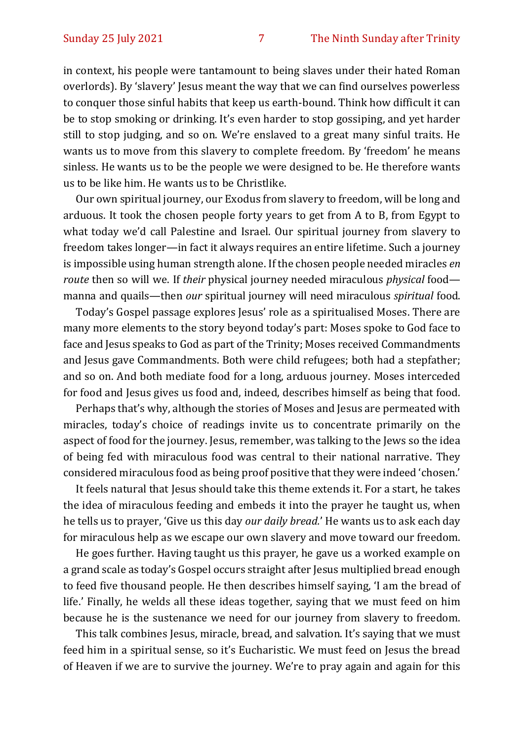in context, his people were tantamount to being slaves under their hated Roman overlords). By 'slavery' Jesus meant the way that we can find ourselves powerless to conquer those sinful habits that keep us earth-bound. Think how difficult it can be to stop smoking or drinking. It's even harder to stop gossiping, and yet harder still to stop judging, and so on. We're enslaved to a great many sinful traits. He wants us to move from this slavery to complete freedom. By 'freedom' he means sinless. He wants us to be the people we were designed to be. He therefore wants us to be like him. He wants us to be Christlike.

Our own spiritual journey, our Exodus from slavery to freedom, will be long and arduous. It took the chosen people forty years to get from A to B, from Egypt to what today we'd call Palestine and Israel. Our spiritual journey from slavery to freedom takes longer—in fact it always requires an entire lifetime. Such a journey is impossible using human strength alone. If the chosen people needed miracles *en route* then so will we. If *their* physical journey needed miraculous *physical* food manna and quails—then *our* spiritual journey will need miraculous *spiritual* food.

Today's Gospel passage explores Jesus' role as a spiritualised Moses. There are many more elements to the story beyond today's part: Moses spoke to God face to face and Jesus speaks to God as part of the Trinity; Moses received Commandments and Jesus gave Commandments. Both were child refugees; both had a stepfather; and so on. And both mediate food for a long, arduous journey. Moses interceded for food and Jesus gives us food and, indeed, describes himself as being that food.

Perhaps that's why, although the stories of Moses and Jesus are permeated with miracles, today's choice of readings invite us to concentrate primarily on the aspect of food for the journey. Jesus, remember, was talking to the Jews so the idea of being fed with miraculous food was central to their national narrative. They considered miraculous food as being proof positive that they were indeed 'chosen.'

It feels natural that Jesus should take this theme extends it. For a start, he takes the idea of miraculous feeding and embeds it into the prayer he taught us, when he tells us to prayer, 'Give us this day *our daily bread.*' He wants us to ask each day for miraculous help as we escape our own slavery and move toward our freedom.

He goes further. Having taught us this prayer, he gave us a worked example on a grand scale as today's Gospel occurs straight after Jesus multiplied bread enough to feed five thousand people. He then describes himself saying, 'I am the bread of life.' Finally, he welds all these ideas together, saying that we must feed on him because he is the sustenance we need for our journey from slavery to freedom.

This talk combines Jesus, miracle, bread, and salvation. It's saying that we must feed him in a spiritual sense, so it's Eucharistic. We must feed on Jesus the bread of Heaven if we are to survive the journey. We're to pray again and again for this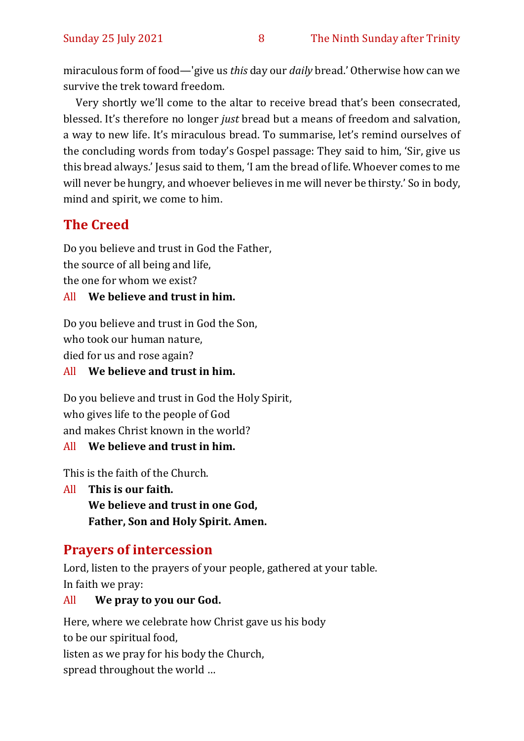miraculous form of food—'give us *this* day our *daily* bread.' Otherwise how can we survive the trek toward freedom.

Very shortly we'll come to the altar to receive bread that's been consecrated, blessed. It's therefore no longer *just* bread but a means of freedom and salvation, a way to new life. It's miraculous bread. To summarise, let's remind ourselves of the concluding words from today's Gospel passage: They said to him, 'Sir, give us this bread always.' Jesus said to them, 'I am the bread of life. Whoever comes to me will never be hungry, and whoever believes in me will never be thirsty.' So in body, mind and spirit, we come to him.

# **The Creed**

Do you believe and trust in God the Father, the source of all being and life, the one for whom we exist? All **We believe and trust in him.**

Do you believe and trust in God the Son, who took our human nature,

died for us and rose again?

All **We believe and trust in him.**

Do you believe and trust in God the Holy Spirit, who gives life to the people of God and makes Christ known in the world?

All **We believe and trust in him.**

This is the faith of the Church.

All **This is our faith. We believe and trust in one God, Father, Son and Holy Spirit. Amen.**

# **Prayers of intercession**

Lord, listen to the prayers of your people, gathered at your table. In faith we pray:

#### All **We pray to you our God.**

Here, where we celebrate how Christ gave us his body to be our spiritual food, listen as we pray for his body the Church, spread throughout the world …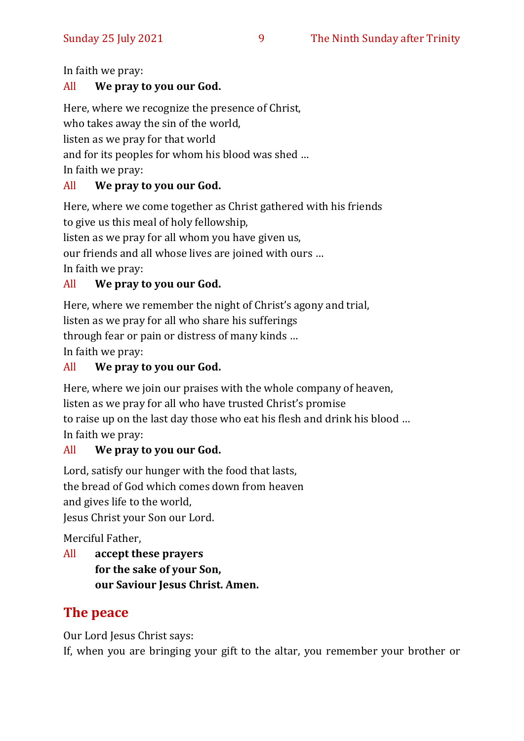In faith we pray:

#### All **We pray to you our God.**

Here, where we recognize the presence of Christ, who takes away the sin of the world, listen as we pray for that world and for its peoples for whom his blood was shed … In faith we pray:

#### All **We pray to you our God.**

Here, where we come together as Christ gathered with his friends to give us this meal of holy fellowship, listen as we pray for all whom you have given us,

our friends and all whose lives are joined with ours …

In faith we pray:

#### All **We pray to you our God.**

Here, where we remember the night of Christ's agony and trial, listen as we pray for all who share his sufferings

through fear or pain or distress of many kinds …

In faith we pray:

#### All **We pray to you our God.**

Here, where we join our praises with the whole company of heaven, listen as we pray for all who have trusted Christ's promise to raise up on the last day those who eat his flesh and drink his blood … In faith we pray:

#### All **We pray to you our God.**

Lord, satisfy our hunger with the food that lasts, the bread of God which comes down from heaven and gives life to the world, Jesus Christ your Son our Lord.

Merciful Father,

All **accept these prayers for the sake of your Son, our Saviour Jesus Christ. Amen.**

# **The peace**

Our Lord Jesus Christ says:

If, when you are bringing your gift to the altar, you remember your brother or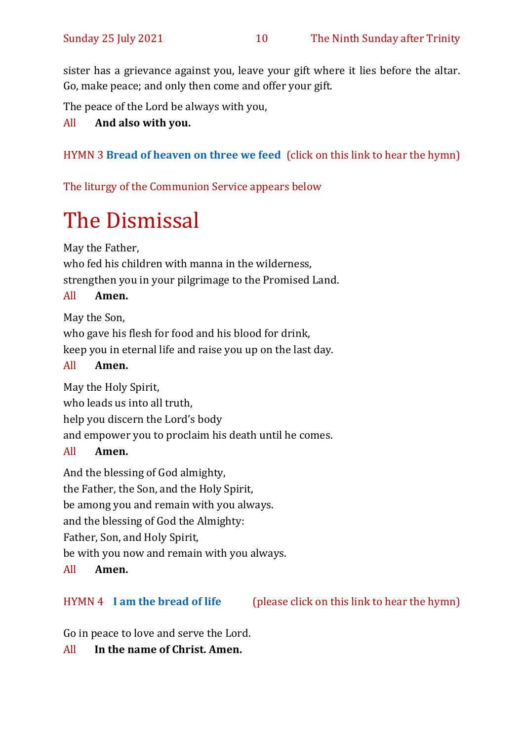sister has a grievance against you, leave your gift where it lies before the altar. Go, make peace; and only then come and offer your gift.

The peace of the Lord be always with you,

#### All **And also with you.**

#### HYMN 3 **[Bread of heaven on three we feed](https://www.youtube.com/watch?v=j7IEwZQqh2o)** (click on this link to hear the hymn)

The liturgy of the Communion Service appears below

# The Dismissal

May the Father,

who fed his children with manna in the wilderness, strengthen you in your pilgrimage to the Promised Land.

#### All **Amen.**

May the Son,

who gave his flesh for food and his blood for drink, keep you in eternal life and raise you up on the last day.

#### All **Amen.**

May the Holy Spirit,

who leads us into all truth,

help you discern the Lord's body

and empower you to proclaim his death until he comes.

#### All **Amen.**

And the blessing of God almighty, the Father, the Son, and the Holy Spirit, be among you and remain with you always. and the blessing of God the Almighty: Father, Son, and Holy Spirit, be with you now and remain with you always.

#### All **Amen.**

#### HYMN 4 **[I am the bread of life](https://www.youtube.com/watch?v=IvD0XJzOWQ4)** (please click on this link to hear the hymn)

Go in peace to love and serve the Lord.

All **In the name of Christ. Amen.**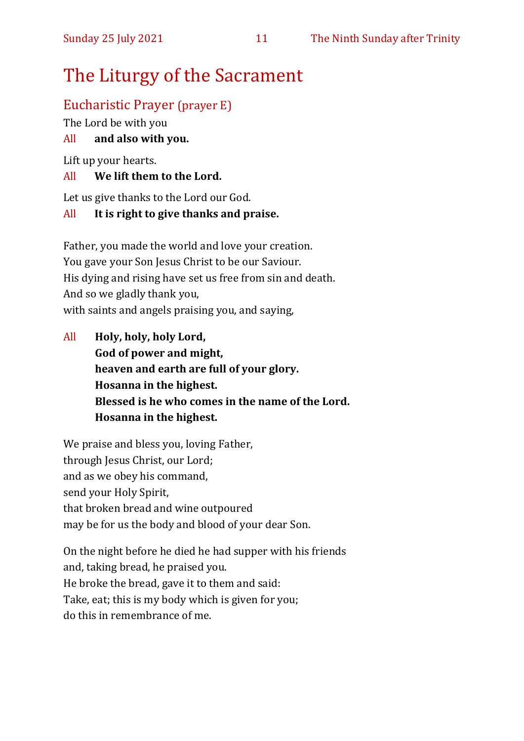# The Liturgy of the Sacrament

# Eucharistic Prayer (prayer E)

The Lord be with you

#### All **and also with you.**

Lift up your hearts.

#### All **We lift them to the Lord.**

Let us give thanks to the Lord our God.

#### All **It is right to give thanks and praise.**

Father, you made the world and love your creation. You gave your Son Jesus Christ to be our Saviour. His dying and rising have set us free from sin and death. And so we gladly thank you, with saints and angels praising you, and saying,

All **Holy, holy, holy Lord, God of power and might, heaven and earth are full of your glory. Hosanna in the highest. Blessed is he who comes in the name of the Lord. Hosanna in the highest.**

We praise and bless you, loving Father, through Jesus Christ, our Lord; and as we obey his command, send your Holy Spirit, that broken bread and wine outpoured may be for us the body and blood of your dear Son.

On the night before he died he had supper with his friends and, taking bread, he praised you. He broke the bread, gave it to them and said: Take, eat; this is my body which is given for you; do this in remembrance of me.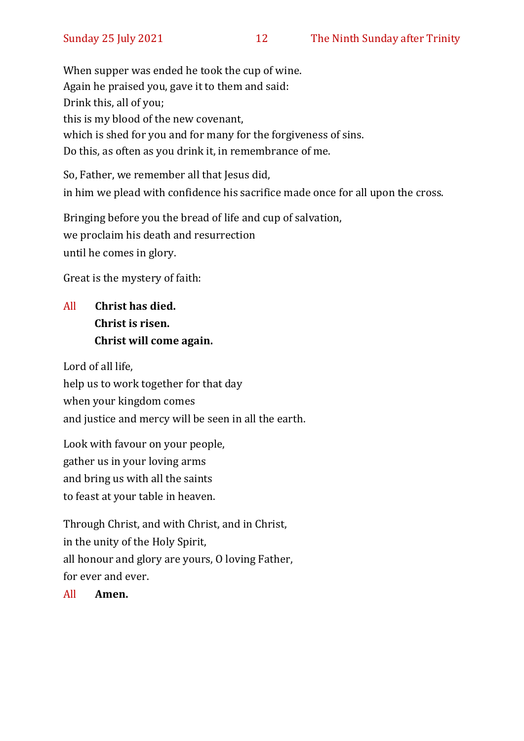When supper was ended he took the cup of wine. Again he praised you, gave it to them and said: Drink this, all of you; this is my blood of the new covenant, which is shed for you and for many for the forgiveness of sins. Do this, as often as you drink it, in remembrance of me.

So, Father, we remember all that Jesus did, in him we plead with confidence his sacrifice made once for all upon the cross.

Bringing before you the bread of life and cup of salvation, we proclaim his death and resurrection until he comes in glory.

Great is the mystery of faith:

# All **Christ has died. Christ is risen. Christ will come again.**

Lord of all life, help us to work together for that day when your kingdom comes and justice and mercy will be seen in all the earth.

Look with favour on your people, gather us in your loving arms and bring us with all the saints to feast at your table in heaven.

Through Christ, and with Christ, and in Christ, in the unity of the Holy Spirit, all honour and glory are yours, O loving Father, for ever and ever.

All **Amen.**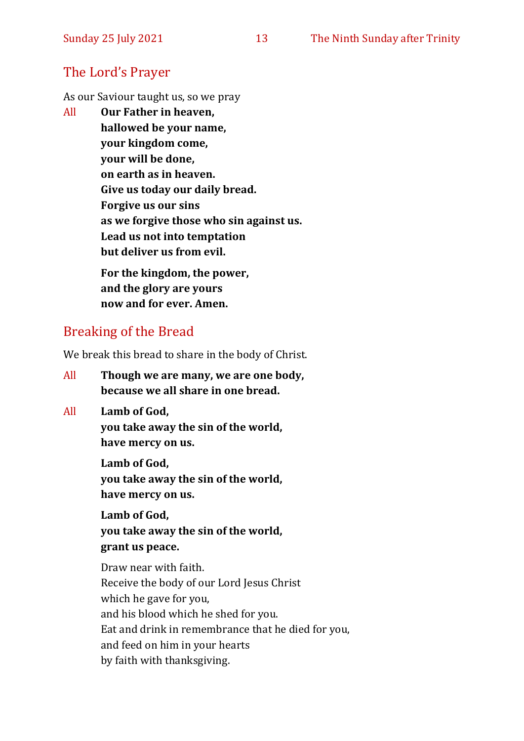# The Lord's Prayer

As our Saviour taught us, so we pray

All **Our Father in heaven, hallowed be your name, your kingdom come, your will be done, on earth as in heaven. Give us today our daily bread. Forgive us our sins as we forgive those who sin against us. Lead us not into temptation but deliver us from evil. For the kingdom, the power,** 

**and the glory are yours now and for ever. Amen.**

# Breaking of the Bread

We break this bread to share in the body of Christ.

- All **Though we are many, we are one body, because we all share in one bread.**
- All **Lamb of God, you take away the sin of the world, have mercy on us.**

**Lamb of God, you take away the sin of the world, have mercy on us.**

**Lamb of God, you take away the sin of the world, grant us peace.**

Draw near with faith. Receive the body of our Lord Jesus Christ which he gave for you, and his blood which he shed for you. Eat and drink in remembrance that he died for you, and feed on him in your hearts by faith with thanksgiving.